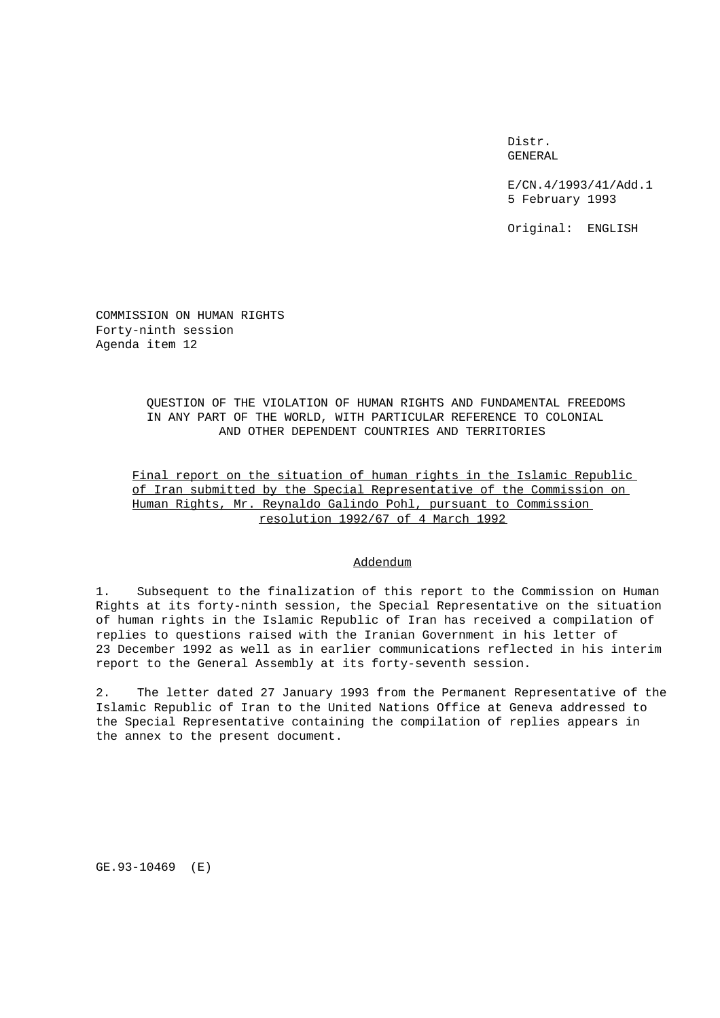Distr. GENERAL

E/CN.4/1993/41/Add.1 5 February 1993

Original: ENGLISH

COMMISSION ON HUMAN RIGHTS Forty-ninth session Agenda item 12

> QUESTION OF THE VIOLATION OF HUMAN RIGHTS AND FUNDAMENTAL FREEDOMS IN ANY PART OF THE WORLD, WITH PARTICULAR REFERENCE TO COLONIAL AND OTHER DEPENDENT COUNTRIES AND TERRITORIES

Final report on the situation of human rights in the Islamic Republic of Iran submitted by the Special Representative of the Commission on Human Rights, Mr. Reynaldo Galindo Pohl, pursuant to Commission resolution 1992/67 of 4 March 1992

## Addendum

1. Subsequent to the finalization of this report to the Commission on Human Rights at its forty-ninth session, the Special Representative on the situation of human rights in the Islamic Republic of Iran has received a compilation of replies to questions raised with the Iranian Government in his letter of 23 December 1992 as well as in earlier communications reflected in his interim report to the General Assembly at its forty-seventh session.

2. The letter dated 27 January 1993 from the Permanent Representative of the Islamic Republic of Iran to the United Nations Office at Geneva addressed to the Special Representative containing the compilation of replies appears in the annex to the present document.

GE.93-10469 (E)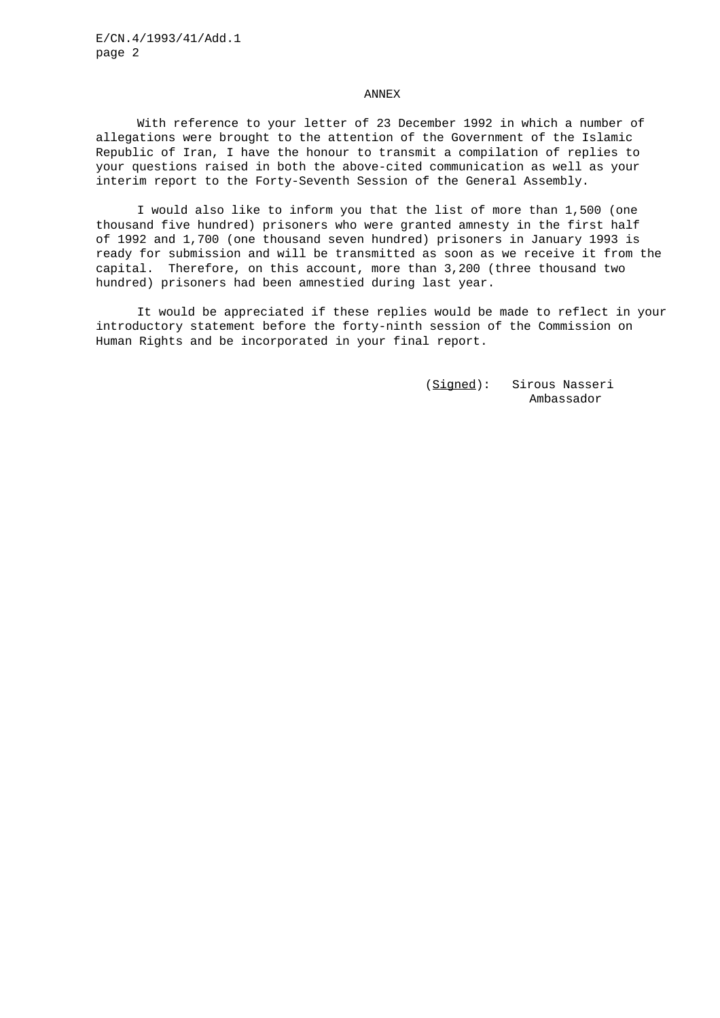## ANNEX

With reference to your letter of 23 December 1992 in which a number of allegations were brought to the attention of the Government of the Islamic Republic of Iran, I have the honour to transmit a compilation of replies to your questions raised in both the above-cited communication as well as your interim report to the Forty-Seventh Session of the General Assembly.

I would also like to inform you that the list of more than 1,500 (one thousand five hundred) prisoners who were granted amnesty in the first half of 1992 and 1,700 (one thousand seven hundred) prisoners in January 1993 is ready for submission and will be transmitted as soon as we receive it from the capital. Therefore, on this account, more than 3,200 (three thousand two hundred) prisoners had been amnestied during last year.

It would be appreciated if these replies would be made to reflect in your introductory statement before the forty-ninth session of the Commission on Human Rights and be incorporated in your final report.

> (Signed): Sirous Nasseri Ambassador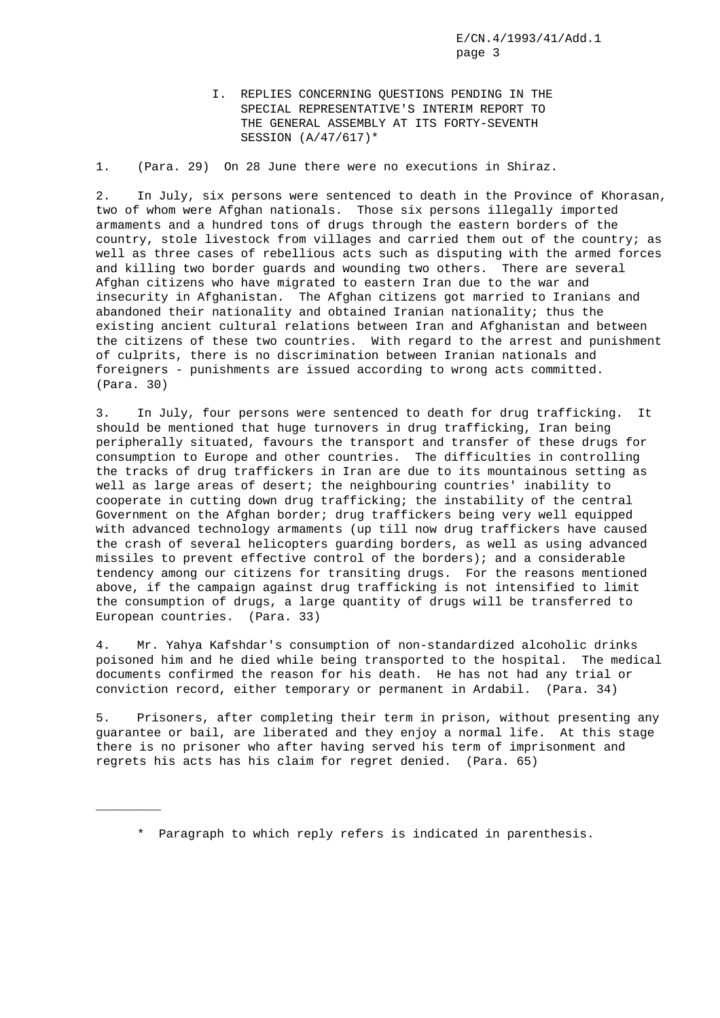I. REPLIES CONCERNING QUESTIONS PENDING IN THE SPECIAL REPRESENTATIVE'S INTERIM REPORT TO THE GENERAL ASSEMBLY AT ITS FORTY-SEVENTH SESSION (A/47/617)\*

1. (Para. 29) On 28 June there were no executions in Shiraz.

2. In July, six persons were sentenced to death in the Province of Khorasan, two of whom were Afghan nationals. Those six persons illegally imported armaments and a hundred tons of drugs through the eastern borders of the country, stole livestock from villages and carried them out of the country; as well as three cases of rebellious acts such as disputing with the armed forces and killing two border guards and wounding two others. There are several Afghan citizens who have migrated to eastern Iran due to the war and insecurity in Afghanistan. The Afghan citizens got married to Iranians and abandoned their nationality and obtained Iranian nationality; thus the existing ancient cultural relations between Iran and Afghanistan and between the citizens of these two countries. With regard to the arrest and punishment of culprits, there is no discrimination between Iranian nationals and foreigners - punishments are issued according to wrong acts committed. (Para. 30)

3. In July, four persons were sentenced to death for drug trafficking. It should be mentioned that huge turnovers in drug trafficking, Iran being peripherally situated, favours the transport and transfer of these drugs for consumption to Europe and other countries. The difficulties in controlling the tracks of drug traffickers in Iran are due to its mountainous setting as well as large areas of desert; the neighbouring countries' inability to cooperate in cutting down drug trafficking; the instability of the central Government on the Afghan border; drug traffickers being very well equipped with advanced technology armaments (up till now drug traffickers have caused the crash of several helicopters guarding borders, as well as using advanced missiles to prevent effective control of the borders); and a considerable tendency among our citizens for transiting drugs. For the reasons mentioned above, if the campaign against drug trafficking is not intensified to limit the consumption of drugs, a large quantity of drugs will be transferred to European countries. (Para. 33)

4. Mr. Yahya Kafshdar's consumption of non-standardized alcoholic drinks poisoned him and he died while being transported to the hospital. The medical documents confirmed the reason for his death. He has not had any trial or conviction record, either temporary or permanent in Ardabil. (Para. 34)

5. Prisoners, after completing their term in prison, without presenting any guarantee or bail, are liberated and they enjoy a normal life. At this stage there is no prisoner who after having served his term of imprisonment and regrets his acts has his claim for regret denied. (Para. 65)

 $\overline{\phantom{a}}$ 

<sup>\*</sup> Paragraph to which reply refers is indicated in parenthesis.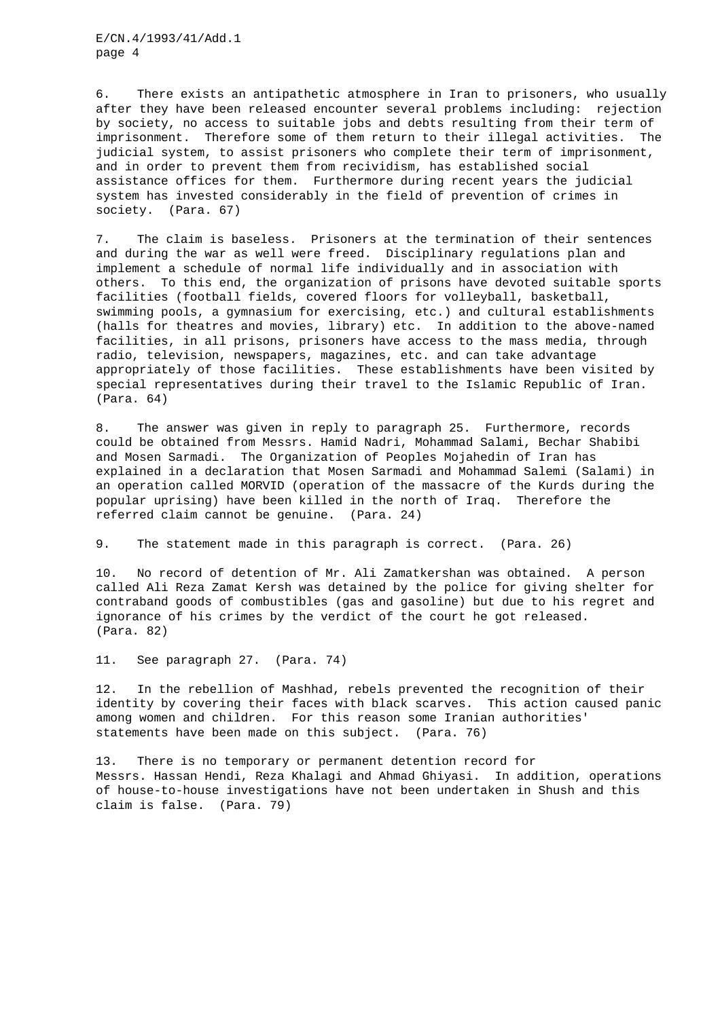6. There exists an antipathetic atmosphere in Iran to prisoners, who usually after they have been released encounter several problems including: rejection by society, no access to suitable jobs and debts resulting from their term of imprisonment. Therefore some of them return to their illegal activities. The judicial system, to assist prisoners who complete their term of imprisonment, and in order to prevent them from recividism, has established social assistance offices for them. Furthermore during recent years the judicial system has invested considerably in the field of prevention of crimes in society. (Para. 67)

7. The claim is baseless. Prisoners at the termination of their sentences and during the war as well were freed. Disciplinary regulations plan and implement a schedule of normal life individually and in association with others. To this end, the organization of prisons have devoted suitable sports facilities (football fields, covered floors for volleyball, basketball, swimming pools, a gymnasium for exercising, etc.) and cultural establishments (halls for theatres and movies, library) etc. In addition to the above-named facilities, in all prisons, prisoners have access to the mass media, through radio, television, newspapers, magazines, etc. and can take advantage appropriately of those facilities. These establishments have been visited by special representatives during their travel to the Islamic Republic of Iran. (Para. 64)

8. The answer was given in reply to paragraph 25. Furthermore, records could be obtained from Messrs. Hamid Nadri, Mohammad Salami, Bechar Shabibi and Mosen Sarmadi. The Organization of Peoples Mojahedin of Iran has explained in a declaration that Mosen Sarmadi and Mohammad Salemi (Salami) in an operation called MORVID (operation of the massacre of the Kurds during the popular uprising) have been killed in the north of Iraq. Therefore the referred claim cannot be genuine. (Para. 24)

9. The statement made in this paragraph is correct. (Para. 26)

10. No record of detention of Mr. Ali Zamatkershan was obtained. A person called Ali Reza Zamat Kersh was detained by the police for giving shelter for contraband goods of combustibles (gas and gasoline) but due to his regret and ignorance of his crimes by the verdict of the court he got released. (Para. 82)

11. See paragraph 27. (Para. 74)

12. In the rebellion of Mashhad, rebels prevented the recognition of their identity by covering their faces with black scarves. This action caused panic among women and children. For this reason some Iranian authorities' statements have been made on this subject. (Para. 76)

13. There is no temporary or permanent detention record for Messrs. Hassan Hendi, Reza Khalagi and Ahmad Ghiyasi. In addition, operations of house-to-house investigations have not been undertaken in Shush and this claim is false. (Para. 79)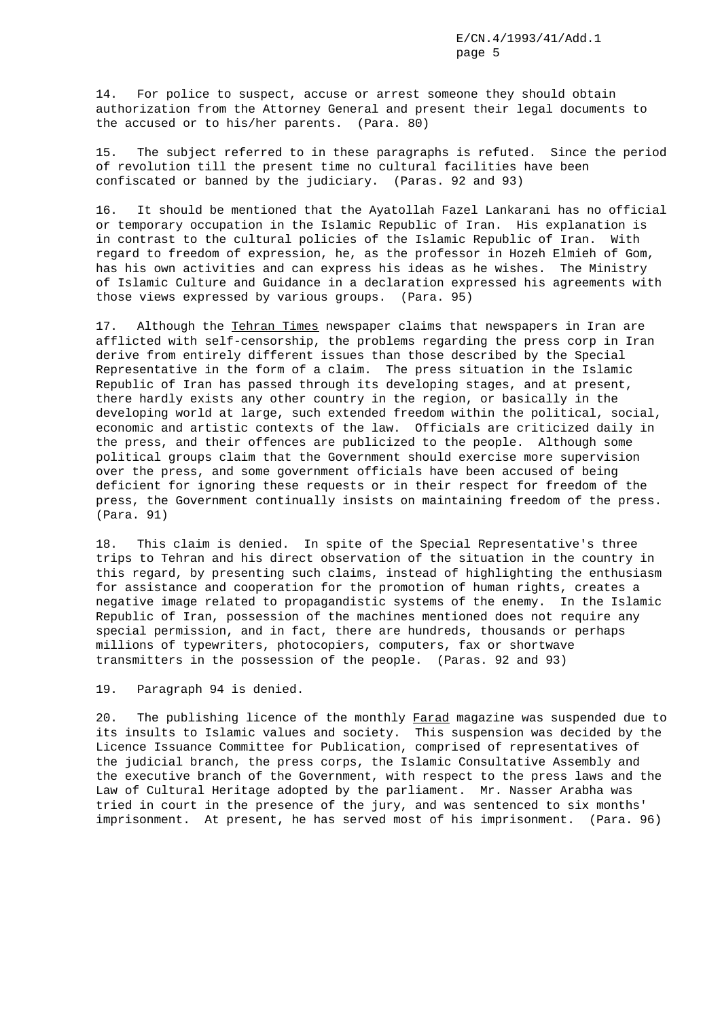14. For police to suspect, accuse or arrest someone they should obtain authorization from the Attorney General and present their legal documents to the accused or to his/her parents. (Para. 80)

15. The subject referred to in these paragraphs is refuted. Since the period of revolution till the present time no cultural facilities have been confiscated or banned by the judiciary. (Paras. 92 and 93)

16. It should be mentioned that the Ayatollah Fazel Lankarani has no official or temporary occupation in the Islamic Republic of Iran. His explanation is in contrast to the cultural policies of the Islamic Republic of Iran. With regard to freedom of expression, he, as the professor in Hozeh Elmieh of Gom, has his own activities and can express his ideas as he wishes. The Ministry of Islamic Culture and Guidance in a declaration expressed his agreements with those views expressed by various groups. (Para. 95)

17. Although the Tehran Times newspaper claims that newspapers in Iran are afflicted with self-censorship, the problems regarding the press corp in Iran derive from entirely different issues than those described by the Special Representative in the form of a claim. The press situation in the Islamic Republic of Iran has passed through its developing stages, and at present, there hardly exists any other country in the region, or basically in the developing world at large, such extended freedom within the political, social, economic and artistic contexts of the law. Officials are criticized daily in the press, and their offences are publicized to the people. Although some political groups claim that the Government should exercise more supervision over the press, and some government officials have been accused of being deficient for ignoring these requests or in their respect for freedom of the press, the Government continually insists on maintaining freedom of the press. (Para. 91)

18. This claim is denied. In spite of the Special Representative's three trips to Tehran and his direct observation of the situation in the country in this regard, by presenting such claims, instead of highlighting the enthusiasm for assistance and cooperation for the promotion of human rights, creates a negative image related to propagandistic systems of the enemy. In the Islamic Republic of Iran, possession of the machines mentioned does not require any special permission, and in fact, there are hundreds, thousands or perhaps millions of typewriters, photocopiers, computers, fax or shortwave transmitters in the possession of the people. (Paras. 92 and 93)

## 19. Paragraph 94 is denied.

20. The publishing licence of the monthly Farad magazine was suspended due to its insults to Islamic values and society. This suspension was decided by the Licence Issuance Committee for Publication, comprised of representatives of the judicial branch, the press corps, the Islamic Consultative Assembly and the executive branch of the Government, with respect to the press laws and the Law of Cultural Heritage adopted by the parliament. Mr. Nasser Arabha was tried in court in the presence of the jury, and was sentenced to six months' imprisonment. At present, he has served most of his imprisonment. (Para. 96)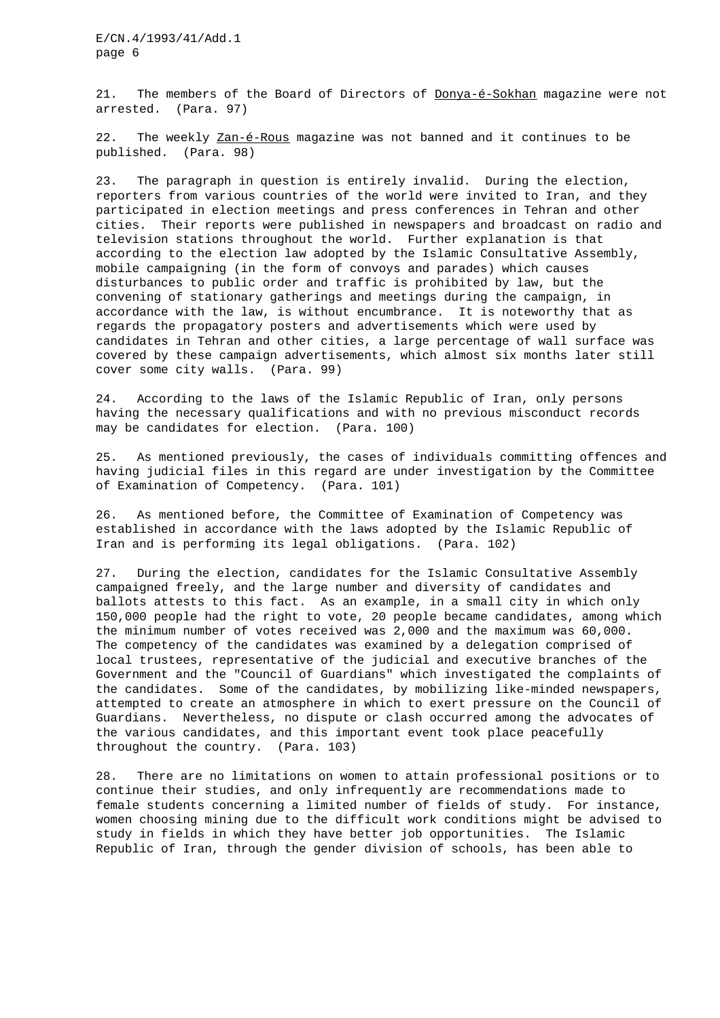21. The members of the Board of Directors of Donya-é-Sokhan magazine were not arrested. (Para. 97)

22. The weekly Zan-é-Rous magazine was not banned and it continues to be published. (Para. 98)

23. The paragraph in question is entirely invalid. During the election, reporters from various countries of the world were invited to Iran, and they participated in election meetings and press conferences in Tehran and other cities. Their reports were published in newspapers and broadcast on radio and television stations throughout the world. Further explanation is that according to the election law adopted by the Islamic Consultative Assembly, mobile campaigning (in the form of convoys and parades) which causes disturbances to public order and traffic is prohibited by law, but the convening of stationary gatherings and meetings during the campaign, in accordance with the law, is without encumbrance. It is noteworthy that as regards the propagatory posters and advertisements which were used by candidates in Tehran and other cities, a large percentage of wall surface was covered by these campaign advertisements, which almost six months later still cover some city walls. (Para. 99)

24. According to the laws of the Islamic Republic of Iran, only persons having the necessary qualifications and with no previous misconduct records may be candidates for election. (Para. 100)

25. As mentioned previously, the cases of individuals committing offences and having judicial files in this regard are under investigation by the Committee of Examination of Competency. (Para. 101)

26. As mentioned before, the Committee of Examination of Competency was established in accordance with the laws adopted by the Islamic Republic of Iran and is performing its legal obligations. (Para. 102)

27. During the election, candidates for the Islamic Consultative Assembly campaigned freely, and the large number and diversity of candidates and ballots attests to this fact. As an example, in a small city in which only 150,000 people had the right to vote, 20 people became candidates, among which the minimum number of votes received was 2,000 and the maximum was 60,000. The competency of the candidates was examined by a delegation comprised of local trustees, representative of the judicial and executive branches of the Government and the "Council of Guardians" which investigated the complaints of the candidates. Some of the candidates, by mobilizing like-minded newspapers, attempted to create an atmosphere in which to exert pressure on the Council of Guardians. Nevertheless, no dispute or clash occurred among the advocates of the various candidates, and this important event took place peacefully throughout the country. (Para. 103)

28. There are no limitations on women to attain professional positions or to continue their studies, and only infrequently are recommendations made to female students concerning a limited number of fields of study. For instance, women choosing mining due to the difficult work conditions might be advised to study in fields in which they have better job opportunities. The Islamic Republic of Iran, through the gender division of schools, has been able to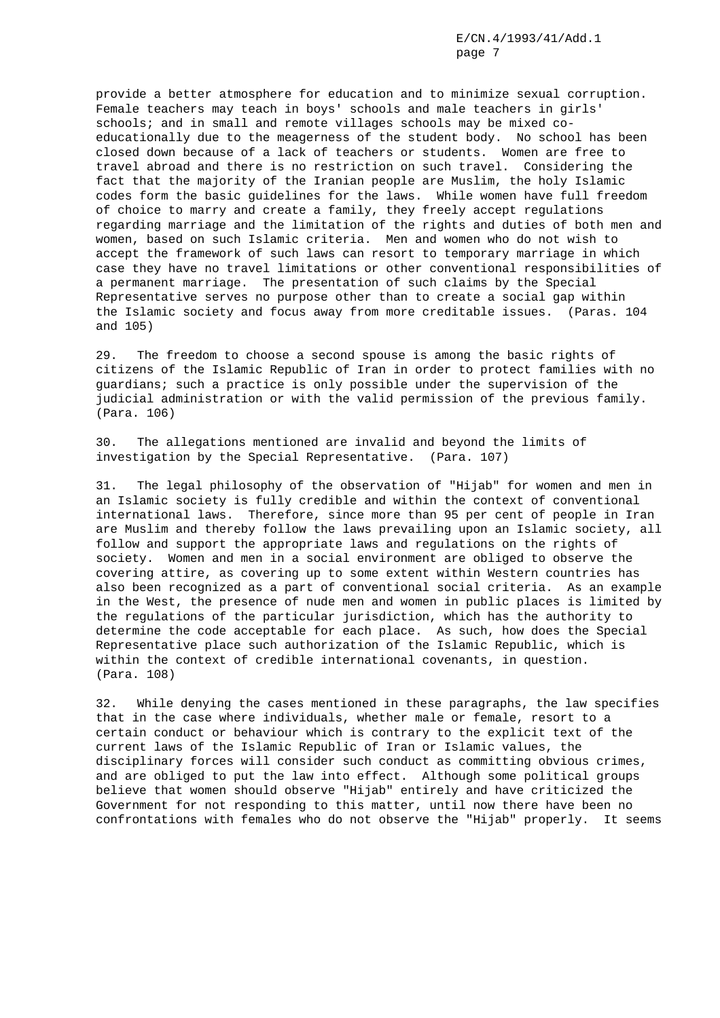provide a better atmosphere for education and to minimize sexual corruption. Female teachers may teach in boys' schools and male teachers in girls' schools; and in small and remote villages schools may be mixed coeducationally due to the meagerness of the student body. No school has been closed down because of a lack of teachers or students. Women are free to travel abroad and there is no restriction on such travel. Considering the fact that the majority of the Iranian people are Muslim, the holy Islamic codes form the basic guidelines for the laws. While women have full freedom of choice to marry and create a family, they freely accept regulations regarding marriage and the limitation of the rights and duties of both men and women, based on such Islamic criteria. Men and women who do not wish to accept the framework of such laws can resort to temporary marriage in which case they have no travel limitations or other conventional responsibilities of a permanent marriage. The presentation of such claims by the Special Representative serves no purpose other than to create a social gap within the Islamic society and focus away from more creditable issues. (Paras. 104 and 105)

29. The freedom to choose a second spouse is among the basic rights of citizens of the Islamic Republic of Iran in order to protect families with no guardians; such a practice is only possible under the supervision of the judicial administration or with the valid permission of the previous family. (Para. 106)

30. The allegations mentioned are invalid and beyond the limits of investigation by the Special Representative. (Para. 107)

31. The legal philosophy of the observation of "Hijab" for women and men in an Islamic society is fully credible and within the context of conventional international laws. Therefore, since more than 95 per cent of people in Iran are Muslim and thereby follow the laws prevailing upon an Islamic society, all follow and support the appropriate laws and regulations on the rights of society. Women and men in a social environment are obliged to observe the covering attire, as covering up to some extent within Western countries has also been recognized as a part of conventional social criteria. As an example in the West, the presence of nude men and women in public places is limited by the regulations of the particular jurisdiction, which has the authority to determine the code acceptable for each place. As such, how does the Special Representative place such authorization of the Islamic Republic, which is within the context of credible international covenants, in question. (Para. 108)

32. While denying the cases mentioned in these paragraphs, the law specifies that in the case where individuals, whether male or female, resort to a certain conduct or behaviour which is contrary to the explicit text of the current laws of the Islamic Republic of Iran or Islamic values, the disciplinary forces will consider such conduct as committing obvious crimes, and are obliged to put the law into effect. Although some political groups believe that women should observe "Hijab" entirely and have criticized the Government for not responding to this matter, until now there have been no confrontations with females who do not observe the "Hijab" properly. It seems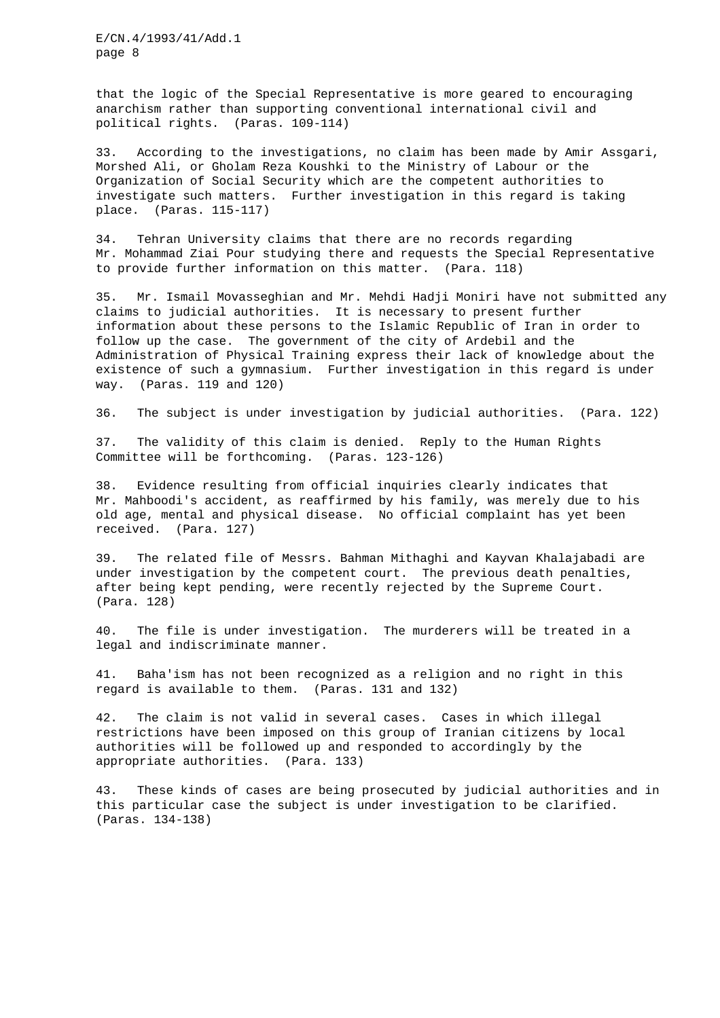that the logic of the Special Representative is more geared to encouraging anarchism rather than supporting conventional international civil and political rights. (Paras. 109-114)

33. According to the investigations, no claim has been made by Amir Assgari, Morshed Ali, or Gholam Reza Koushki to the Ministry of Labour or the Organization of Social Security which are the competent authorities to investigate such matters. Further investigation in this regard is taking place. (Paras. 115-117)

34. Tehran University claims that there are no records regarding Mr. Mohammad Ziai Pour studying there and requests the Special Representative to provide further information on this matter. (Para. 118)

35. Mr. Ismail Movasseghian and Mr. Mehdi Hadji Moniri have not submitted any claims to judicial authorities. It is necessary to present further information about these persons to the Islamic Republic of Iran in order to follow up the case. The government of the city of Ardebil and the Administration of Physical Training express their lack of knowledge about the existence of such a gymnasium. Further investigation in this regard is under way. (Paras. 119 and 120)

36. The subject is under investigation by judicial authorities. (Para. 122)

37. The validity of this claim is denied. Reply to the Human Rights Committee will be forthcoming. (Paras. 123-126)

38. Evidence resulting from official inquiries clearly indicates that Mr. Mahboodi's accident, as reaffirmed by his family, was merely due to his old age, mental and physical disease. No official complaint has yet been received. (Para. 127)

39. The related file of Messrs. Bahman Mithaghi and Kayvan Khalajabadi are under investigation by the competent court. The previous death penalties, after being kept pending, were recently rejected by the Supreme Court. (Para. 128)

40. The file is under investigation. The murderers will be treated in a legal and indiscriminate manner.

41. Baha'ism has not been recognized as a religion and no right in this regard is available to them. (Paras. 131 and 132)

42. The claim is not valid in several cases. Cases in which illegal restrictions have been imposed on this group of Iranian citizens by local authorities will be followed up and responded to accordingly by the appropriate authorities. (Para. 133)

43. These kinds of cases are being prosecuted by judicial authorities and in this particular case the subject is under investigation to be clarified. (Paras. 134-138)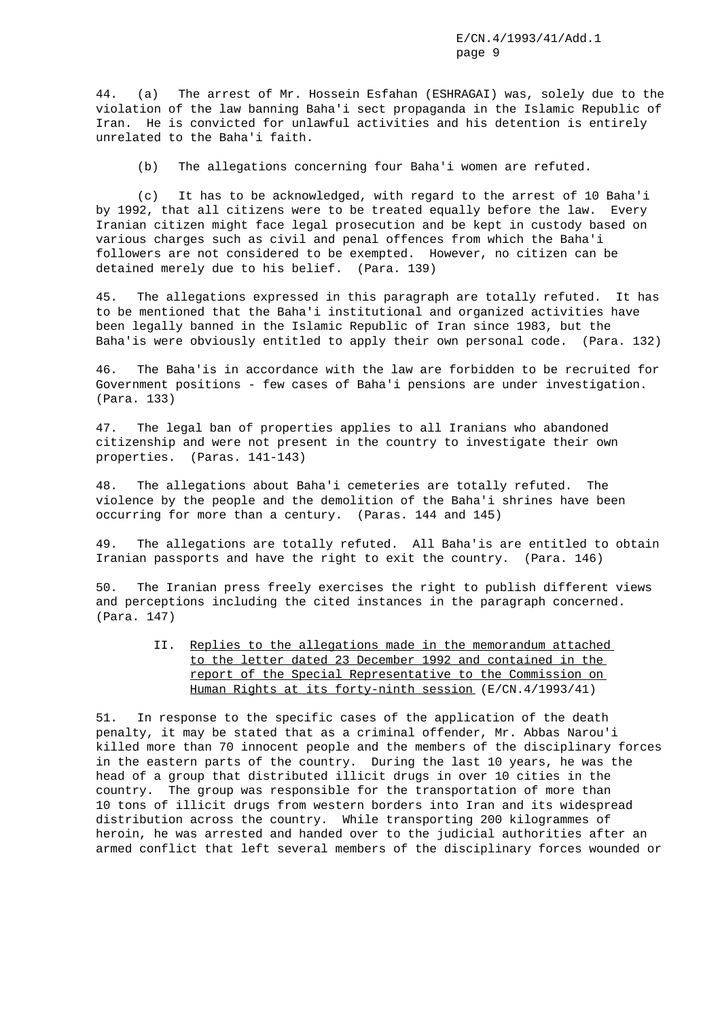44. (a) The arrest of Mr. Hossein Esfahan (ESHRAGAI) was, solely due to the violation of the law banning Baha'i sect propaganda in the Islamic Republic of Iran. He is convicted for unlawful activities and his detention is entirely unrelated to the Baha'i faith.

(b) The allegations concerning four Baha'i women are refuted.

(c) It has to be acknowledged, with regard to the arrest of 10 Baha'i by 1992, that all citizens were to be treated equally before the law. Every Iranian citizen might face legal prosecution and be kept in custody based on various charges such as civil and penal offences from which the Baha'i followers are not considered to be exempted. However, no citizen can be detained merely due to his belief. (Para. 139)

45. The allegations expressed in this paragraph are totally refuted. It has to be mentioned that the Baha'i institutional and organized activities have been legally banned in the Islamic Republic of Iran since 1983, but the Baha'is were obviously entitled to apply their own personal code. (Para. 132)

46. The Baha'is in accordance with the law are forbidden to be recruited for Government positions - few cases of Baha'i pensions are under investigation. (Para. 133)

47. The legal ban of properties applies to all Iranians who abandoned citizenship and were not present in the country to investigate their own properties. (Paras. 141-143)

48. The allegations about Baha'i cemeteries are totally refuted. The violence by the people and the demolition of the Baha'i shrines have been occurring for more than a century. (Paras. 144 and 145)

49. The allegations are totally refuted. All Baha'is are entitled to obtain Iranian passports and have the right to exit the country. (Para. 146)

50. The Iranian press freely exercises the right to publish different views and perceptions including the cited instances in the paragraph concerned. (Para. 147)

| II. Replies to the allegations made in the memorandum attached |
|----------------------------------------------------------------|
| to the letter dated 23 December 1992 and contained in the      |
| report of the Special Representative to the Commission on      |
| Human Rights at its forty-ninth session $(E/CN.4/1993/41)$     |

51. In response to the specific cases of the application of the death penalty, it may be stated that as a criminal offender, Mr. Abbas Narou'i killed more than 70 innocent people and the members of the disciplinary forces in the eastern parts of the country. During the last 10 years, he was the head of a group that distributed illicit drugs in over 10 cities in the country. The group was responsible for the transportation of more than 10 tons of illicit drugs from western borders into Iran and its widespread distribution across the country. While transporting 200 kilogrammes of heroin, he was arrested and handed over to the judicial authorities after an armed conflict that left several members of the disciplinary forces wounded or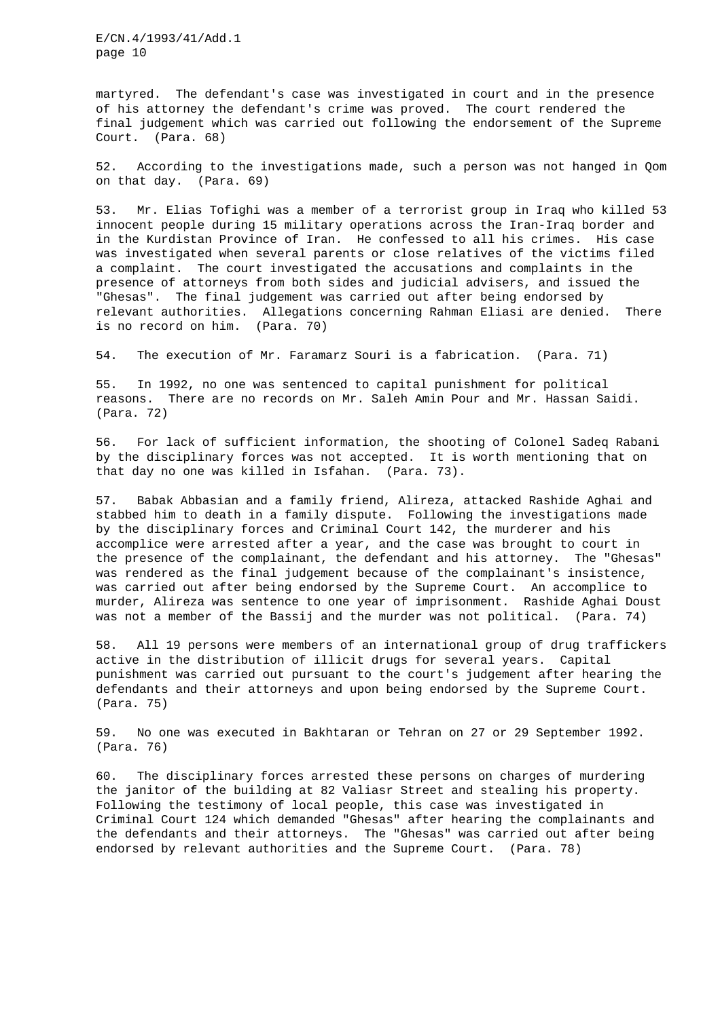martyred. The defendant's case was investigated in court and in the presence of his attorney the defendant's crime was proved. The court rendered the final judgement which was carried out following the endorsement of the Supreme Court. (Para. 68)

52. According to the investigations made, such a person was not hanged in Qom on that day. (Para. 69)

53. Mr. Elias Tofighi was a member of a terrorist group in Iraq who killed 53 innocent people during 15 military operations across the Iran-Iraq border and in the Kurdistan Province of Iran. He confessed to all his crimes. His case was investigated when several parents or close relatives of the victims filed a complaint. The court investigated the accusations and complaints in the presence of attorneys from both sides and judicial advisers, and issued the "Ghesas". The final judgement was carried out after being endorsed by relevant authorities. Allegations concerning Rahman Eliasi are denied. There is no record on him. (Para. 70)

54. The execution of Mr. Faramarz Souri is a fabrication. (Para. 71)

55. In 1992, no one was sentenced to capital punishment for political reasons. There are no records on Mr. Saleh Amin Pour and Mr. Hassan Saidi. (Para. 72)

56. For lack of sufficient information, the shooting of Colonel Sadeq Rabani by the disciplinary forces was not accepted. It is worth mentioning that on that day no one was killed in Isfahan. (Para. 73).

57. Babak Abbasian and a family friend, Alireza, attacked Rashide Aghai and stabbed him to death in a family dispute. Following the investigations made by the disciplinary forces and Criminal Court 142, the murderer and his accomplice were arrested after a year, and the case was brought to court in the presence of the complainant, the defendant and his attorney. The "Ghesas" was rendered as the final judgement because of the complainant's insistence, was carried out after being endorsed by the Supreme Court. An accomplice to murder, Alireza was sentence to one year of imprisonment. Rashide Aghai Doust was not a member of the Bassij and the murder was not political. (Para. 74)

58. All 19 persons were members of an international group of drug traffickers active in the distribution of illicit drugs for several years. Capital punishment was carried out pursuant to the court's judgement after hearing the defendants and their attorneys and upon being endorsed by the Supreme Court. (Para. 75)

59. No one was executed in Bakhtaran or Tehran on 27 or 29 September 1992. (Para. 76)

60. The disciplinary forces arrested these persons on charges of murdering the janitor of the building at 82 Valiasr Street and stealing his property. Following the testimony of local people, this case was investigated in Criminal Court 124 which demanded "Ghesas" after hearing the complainants and the defendants and their attorneys. The "Ghesas" was carried out after being endorsed by relevant authorities and the Supreme Court. (Para. 78)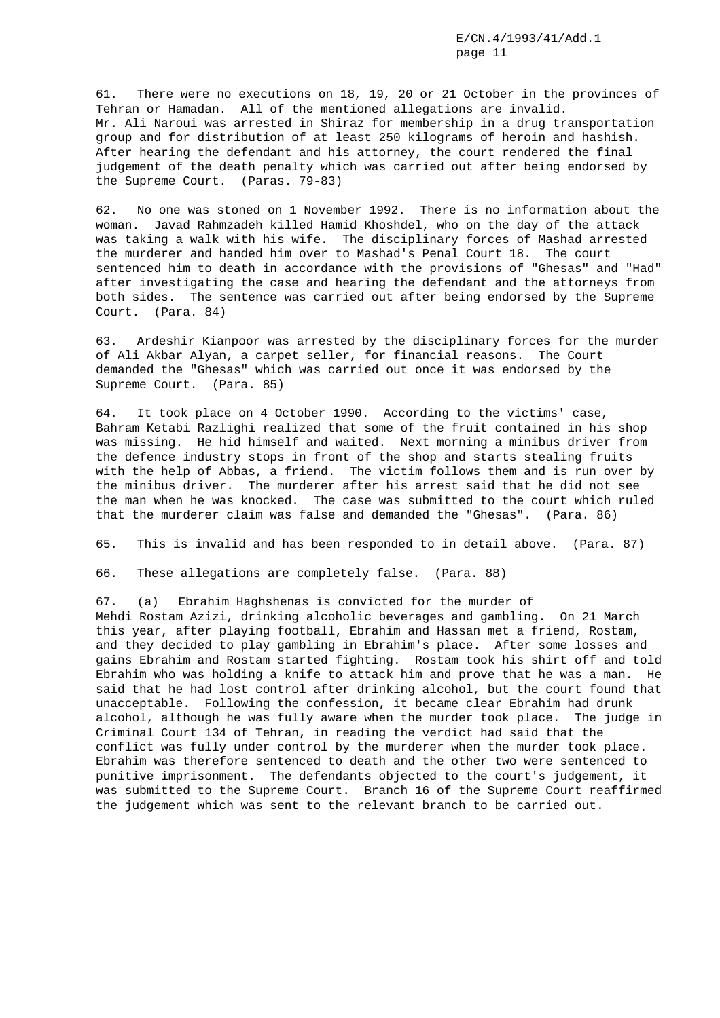61. There were no executions on 18, 19, 20 or 21 October in the provinces of Tehran or Hamadan. All of the mentioned allegations are invalid. Mr. Ali Naroui was arrested in Shiraz for membership in a drug transportation group and for distribution of at least 250 kilograms of heroin and hashish. After hearing the defendant and his attorney, the court rendered the final judgement of the death penalty which was carried out after being endorsed by the Supreme Court. (Paras. 79-83)

62. No one was stoned on 1 November 1992. There is no information about the woman. Javad Rahmzadeh killed Hamid Khoshdel, who on the day of the attack was taking a walk with his wife. The disciplinary forces of Mashad arrested the murderer and handed him over to Mashad's Penal Court 18. The court sentenced him to death in accordance with the provisions of "Ghesas" and "Had" after investigating the case and hearing the defendant and the attorneys from both sides. The sentence was carried out after being endorsed by the Supreme Court. (Para. 84)

63. Ardeshir Kianpoor was arrested by the disciplinary forces for the murder of Ali Akbar Alyan, a carpet seller, for financial reasons. The Court demanded the "Ghesas" which was carried out once it was endorsed by the Supreme Court. (Para. 85)

64. It took place on 4 October 1990. According to the victims' case, Bahram Ketabi Razlighi realized that some of the fruit contained in his shop was missing. He hid himself and waited. Next morning a minibus driver from the defence industry stops in front of the shop and starts stealing fruits with the help of Abbas, a friend. The victim follows them and is run over by the minibus driver. The murderer after his arrest said that he did not see the man when he was knocked. The case was submitted to the court which ruled that the murderer claim was false and demanded the "Ghesas". (Para. 86)

65. This is invalid and has been responded to in detail above. (Para. 87)

66. These allegations are completely false. (Para. 88)

67. (a) Ebrahim Haghshenas is convicted for the murder of Mehdi Rostam Azizi, drinking alcoholic beverages and gambling. On 21 March this year, after playing football, Ebrahim and Hassan met a friend, Rostam, and they decided to play gambling in Ebrahim's place. After some losses and gains Ebrahim and Rostam started fighting. Rostam took his shirt off and told Ebrahim who was holding a knife to attack him and prove that he was a man. He said that he had lost control after drinking alcohol, but the court found that unacceptable. Following the confession, it became clear Ebrahim had drunk alcohol, although he was fully aware when the murder took place. The judge in Criminal Court 134 of Tehran, in reading the verdict had said that the conflict was fully under control by the murderer when the murder took place. Ebrahim was therefore sentenced to death and the other two were sentenced to punitive imprisonment. The defendants objected to the court's judgement, it was submitted to the Supreme Court. Branch 16 of the Supreme Court reaffirmed the judgement which was sent to the relevant branch to be carried out.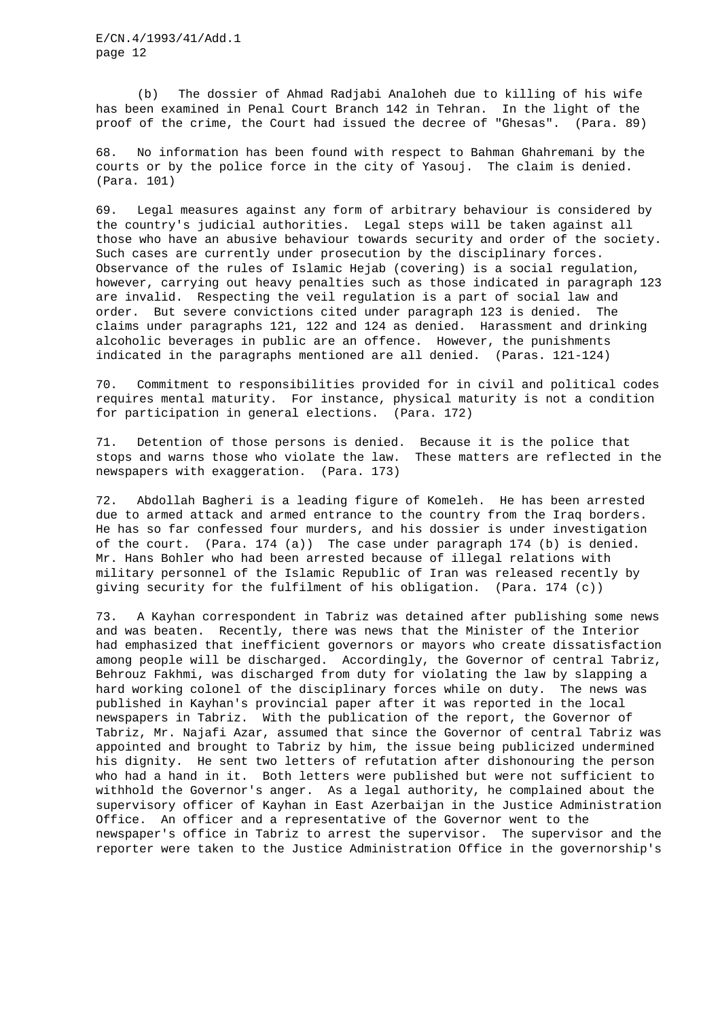(b) The dossier of Ahmad Radjabi Analoheh due to killing of his wife has been examined in Penal Court Branch 142 in Tehran. In the light of the proof of the crime, the Court had issued the decree of "Ghesas". (Para. 89)

68. No information has been found with respect to Bahman Ghahremani by the courts or by the police force in the city of Yasouj. The claim is denied. (Para. 101)

69. Legal measures against any form of arbitrary behaviour is considered by the country's judicial authorities. Legal steps will be taken against all those who have an abusive behaviour towards security and order of the society. Such cases are currently under prosecution by the disciplinary forces. Observance of the rules of Islamic Hejab (covering) is a social regulation, however, carrying out heavy penalties such as those indicated in paragraph 123 are invalid. Respecting the veil regulation is a part of social law and order. But severe convictions cited under paragraph 123 is denied. The claims under paragraphs 121, 122 and 124 as denied. Harassment and drinking alcoholic beverages in public are an offence. However, the punishments indicated in the paragraphs mentioned are all denied. (Paras. 121-124)

70. Commitment to responsibilities provided for in civil and political codes requires mental maturity. For instance, physical maturity is not a condition for participation in general elections. (Para. 172)

71. Detention of those persons is denied. Because it is the police that stops and warns those who violate the law. These matters are reflected in the newspapers with exaggeration. (Para. 173)

72. Abdollah Bagheri is a leading figure of Komeleh. He has been arrested due to armed attack and armed entrance to the country from the Iraq borders. He has so far confessed four murders, and his dossier is under investigation of the court. (Para. 174 (a)) The case under paragraph 174 (b) is denied. Mr. Hans Bohler who had been arrested because of illegal relations with military personnel of the Islamic Republic of Iran was released recently by giving security for the fulfilment of his obligation. (Para. 174 (c))

73. A Kayhan correspondent in Tabriz was detained after publishing some news and was beaten. Recently, there was news that the Minister of the Interior had emphasized that inefficient governors or mayors who create dissatisfaction among people will be discharged. Accordingly, the Governor of central Tabriz, Behrouz Fakhmi, was discharged from duty for violating the law by slapping a hard working colonel of the disciplinary forces while on duty. The news was published in Kayhan's provincial paper after it was reported in the local newspapers in Tabriz. With the publication of the report, the Governor of Tabriz, Mr. Najafi Azar, assumed that since the Governor of central Tabriz was appointed and brought to Tabriz by him, the issue being publicized undermined his dignity. He sent two letters of refutation after dishonouring the person who had a hand in it. Both letters were published but were not sufficient to withhold the Governor's anger. As a legal authority, he complained about the supervisory officer of Kayhan in East Azerbaijan in the Justice Administration Office. An officer and a representative of the Governor went to the newspaper's office in Tabriz to arrest the supervisor. The supervisor and the reporter were taken to the Justice Administration Office in the governorship's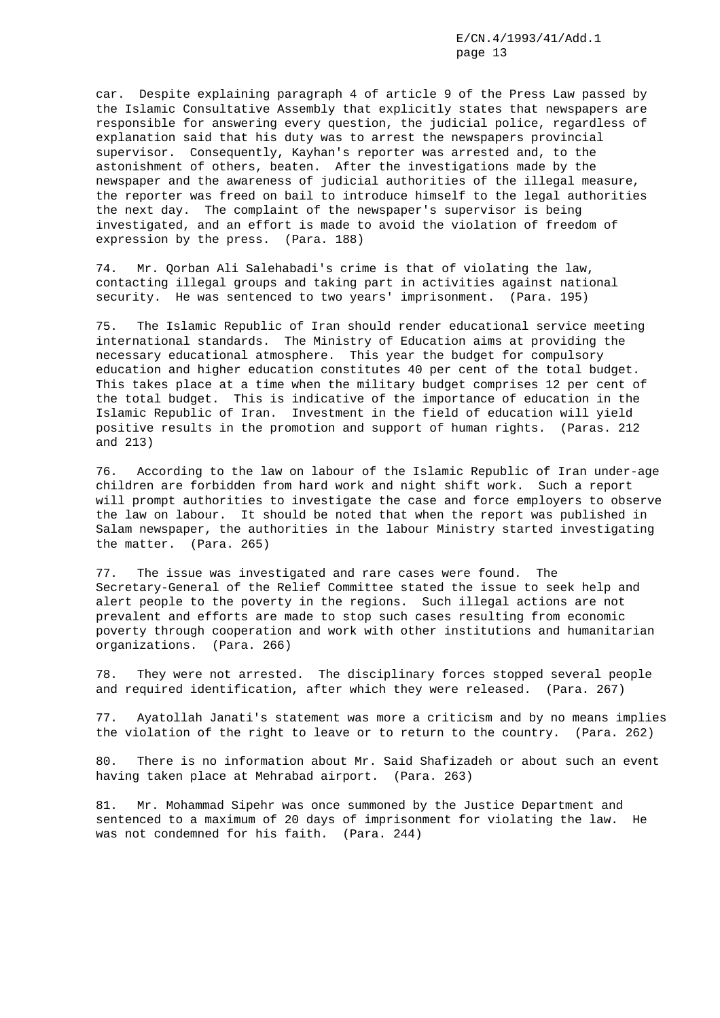car. Despite explaining paragraph 4 of article 9 of the Press Law passed by the Islamic Consultative Assembly that explicitly states that newspapers are responsible for answering every question, the judicial police, regardless of explanation said that his duty was to arrest the newspapers provincial supervisor. Consequently, Kayhan's reporter was arrested and, to the astonishment of others, beaten. After the investigations made by the newspaper and the awareness of judicial authorities of the illegal measure, the reporter was freed on bail to introduce himself to the legal authorities the next day. The complaint of the newspaper's supervisor is being investigated, and an effort is made to avoid the violation of freedom of expression by the press. (Para. 188)

74. Mr. Qorban Ali Salehabadi's crime is that of violating the law, contacting illegal groups and taking part in activities against national security. He was sentenced to two years' imprisonment. (Para. 195)

75. The Islamic Republic of Iran should render educational service meeting international standards. The Ministry of Education aims at providing the necessary educational atmosphere. This year the budget for compulsory education and higher education constitutes 40 per cent of the total budget. This takes place at a time when the military budget comprises 12 per cent of the total budget. This is indicative of the importance of education in the Islamic Republic of Iran. Investment in the field of education will yield positive results in the promotion and support of human rights. (Paras. 212 and 213)

76. According to the law on labour of the Islamic Republic of Iran under-age children are forbidden from hard work and night shift work. Such a report will prompt authorities to investigate the case and force employers to observe the law on labour. It should be noted that when the report was published in Salam newspaper, the authorities in the labour Ministry started investigating the matter. (Para. 265)

77. The issue was investigated and rare cases were found. The Secretary-General of the Relief Committee stated the issue to seek help and alert people to the poverty in the regions. Such illegal actions are not prevalent and efforts are made to stop such cases resulting from economic poverty through cooperation and work with other institutions and humanitarian organizations. (Para. 266)

78. They were not arrested. The disciplinary forces stopped several people and required identification, after which they were released. (Para. 267)

77. Ayatollah Janati's statement was more a criticism and by no means implies the violation of the right to leave or to return to the country. (Para. 262)

80. There is no information about Mr. Said Shafizadeh or about such an event having taken place at Mehrabad airport. (Para. 263)

81. Mr. Mohammad Sipehr was once summoned by the Justice Department and sentenced to a maximum of 20 days of imprisonment for violating the law. He was not condemned for his faith. (Para. 244)